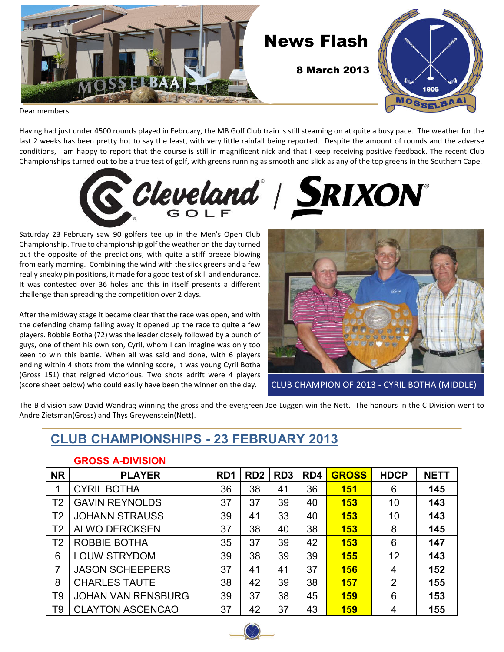

Dear members

Having had just under 4500 rounds played in February, the MB Golf Club train is still steaming on at quite a busy pace. The weather for the last 2 weeks has been pretty hot to say the least, with very little rainfall being reported. Despite the amount of rounds and the adverse conditions, I am happy to report that the course is still in magnificent nick and that I keep receiving positive feedback. The recent Club Championships turned out to be a true test of golf, with greens running as smooth and slick as any of the top greens in the Southern Cape.



Saturday 23 February saw 90 golfers tee up in the Men's Open Club Championship. True to championship golf the weather on the day turned out the opposite of the predictions, with quite a stiff breeze blowing from early morning. Combining the wind with the slick greens and a few really sneaky pin positions, it made for a good test of skill and endurance. It was contested over 36 holes and this in itself presents a different challenge than spreading the competition over 2 days.

After the midway stage it became clear that the race was open, and with the defending champ falling away it opened up the race to quite a few players. Robbie Botha (72) was the leader closely followed by a bunch of guys, one of them his own son, Cyril, whom I can imagine was only too keen to win this battle. When all was said and done, with 6 players ending within 4 shots from the winning score, it was young Cyril Botha (Gross 151) that reigned victorious. Two shots adrift were 4 players (score sheet below) who could easily have been the winner on the day.



CLUB CHAMPION OF 2013 - CYRIL BOTHA (MIDDLE)

The B division saw David Wandrag winning the gross and the evergreen Joe Luggen win the Nett. The honours in the C Division went to Andre Zietsman(Gross) and Thys Greyvenstein(Nett).

### **CLUB CHAMPIONSHIPS - 23 FEBRUARY 2013**

| יוטוטו ועדה טטטונט |                           |                  |                 |                 |     |              |                |             |
|--------------------|---------------------------|------------------|-----------------|-----------------|-----|--------------|----------------|-------------|
| <b>NR</b>          | <b>PLAYER</b>             | R <sub>D</sub> 1 | RD <sub>2</sub> | RD <sub>3</sub> | RD4 | <b>GROSS</b> | <b>HDCP</b>    | <b>NETT</b> |
|                    | <b>CYRIL BOTHA</b>        | 36               | 38              | 41              | 36  | <b>151</b>   | 6              | 145         |
| T <sub>2</sub>     | <b>GAVIN REYNOLDS</b>     | 37               | 37              | 39              | 40  | <b>153</b>   | 10             | 143         |
| T <sub>2</sub>     | <b>JOHANN STRAUSS</b>     | 39               | 41              | 33              | 40  | <b>153</b>   | 10             | 143         |
| T <sub>2</sub>     | <b>ALWO DERCKSEN</b>      | 37               | 38              | 40              | 38  | <b>153</b>   | 8              | 145         |
| T <sub>2</sub>     | ROBBIE BOTHA              | 35               | 37              | 39              | 42  | <b>153</b>   | 6              | 147         |
| 6                  | <b>LOUW STRYDOM</b>       | 39               | 38              | 39              | 39  | <b>155</b>   | 12             | 143         |
| $\overline{7}$     | <b>JASON SCHEEPERS</b>    | 37               | 41              | 41              | 37  | 156          | 4              | 152         |
| 8                  | <b>CHARLES TAUTE</b>      | 38               | 42              | 39              | 38  | <b>157</b>   | $\overline{2}$ | 155         |
| T <sub>9</sub>     | <b>JOHAN VAN RENSBURG</b> | 39               | 37              | 38              | 45  | <b>159</b>   | 6              | 153         |
| T9                 | <b>CLAYTON ASCENCAO</b>   | 37               | 42              | 37              | 43  | <b>159</b>   | 4              | 155         |

#### **GROSS A-DIVISION**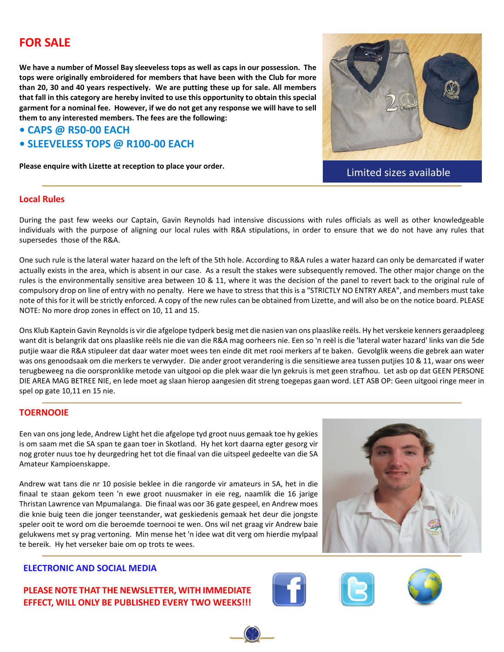### **FOR SALE**

**We have a number of Mossel Bay sleeveless tops as well as caps in our possession. The tops were originally embroidered for members that have been with the Club for more than 20, 30 and 40 years respectively. We are putting these up for sale. All members that fall in this category are hereby invited to use this opportunity to obtain this special garment for a nominal fee. However, if we do not get any response we will have to sell them to any interested members. The fees are the following:**

#### **• CAPS @ R50-00 EACH**

**• SLEEVELESS TOPS @ R100-00 EACH**

**Please enquire with Lizette at reception to place your order.**



Limited sizes available

#### **Local Rules**

During the past few weeks our Captain, Gavin Reynolds had intensive discussions with rules officials as well as other knowledgeable individuals with the purpose of aligning our local rules with R&A stipulations, in order to ensure that we do not have any rules that supersedes those of the R&A.

One such rule is the lateral water hazard on the left of the 5th hole. According to R&A rules a water hazard can only be demarcated if water actually exists in the area, which is absent in our case. As a result the stakes were subsequently removed. The other major change on the rules is the environmentally sensitive area between 10 & 11, where it was the decision of the panel to revert back to the original rule of compulsory drop on line of entry with no penalty. Here we have to stress that this is a "STRICTLY NO ENTRY AREA", and members must take note of this for it will be strictly enforced. A copy of the new rules can be obtained from Lizette, and will also be on the notice board. PLEASE NOTE: No more drop zones in effect on 10, 11 and 15.

Ons Klub Kaptein Gavin Reynolds is vir die afgelope tydperk besig met die nasien van ons plaaslike reëls. Hy het verskeie kenners geraadpleeg want dit is belangrik dat ons plaaslike reëls nie die van die R&A mag oorheers nie. Een so 'n reël is die 'lateral water hazard' links van die 5de putjie waar die R&A stipuleer dat daar water moet wees ten einde dit met rooi merkers af te baken. Gevolglik weens die gebrek aan water was ons genoodsaak om die merkers te verwyder. Die ander groot verandering is die sensitiewe area tussen putjies 10 & 11, waar ons weer terugbeweeg na die oorspronklike metode van uitgooi op die plek waar die lyn gekruis is met geen strafhou. Let asb op dat GEEN PERSONE DIE AREA MAG BETREE NIE, en lede moet ag slaan hierop aangesien dit streng toegepas gaan word. LET ASB OP: Geen uitgooi ringe meer in spel op gate 10,11 en 15 nie.

#### **TOERNOOIE**

Een van ons jong lede, Andrew Light het die afgelope tyd groot nuus gemaak toe hy gekies is om saam met die SA span te gaan toer in Skotland. Hy het kort daarna egter gesorg vir nog groter nuus toe hy deurgedring het tot die finaal van die uitspeel gedeelte van die SA Amateur Kampioenskappe.

Andrew wat tans die nr 10 posisie beklee in die rangorde vir amateurs in SA, het in die finaal te staan gekom teen 'n ewe groot nuusmaker in eie reg, naamlik die 16 jarige Thristan Lawrence van Mpumalanga. Die finaal was oor 36 gate gespeel, en Andrew moes die knie buig teen die jonger teenstander, wat geskiedenis gemaak het deur die jongste speler ooit te word om die beroemde toernooi te wen. Ons wil net graag vir Andrew baie gelukwens met sy prag vertoning. Min mense het 'n idee wat dit verg om hierdie mylpaal te bereik. Hy het verseker baie om op trots te wees.



#### **ELECTRONIC AND SOCIAL MEDIA**

**PLEASE NOTE THAT THE NEWSLETTER, WITH IMMEDIATE EFFECT, WILL ONLY BE PUBLISHED EVERY TWO WEEKS!!!**





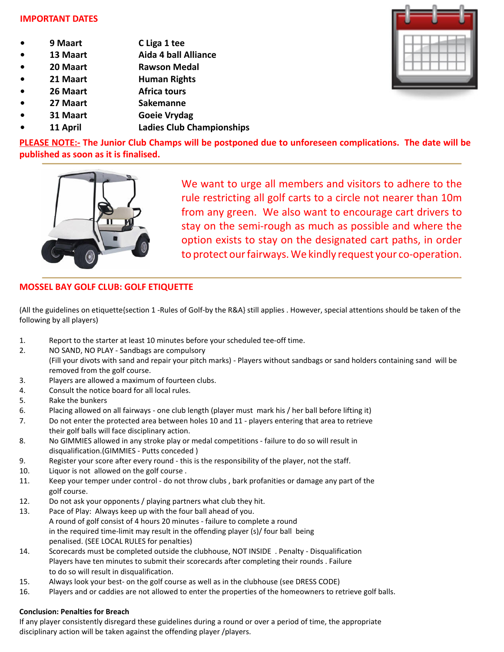#### **IMPORTANT DATES**

- **9 Maart C Liga 1 tee**
- **13 Maart Aida 4 ball Alliance**
- **20 Maart Rawson Medal**
- **21 Maart Human Rights**
- **26 Maart 62 Africa tours**
- **27 Maart Sakemanne**
- **31 Maart Goeie Vrydag**
- **11 April Ladies Club Championships**



**PLEASE NOTE:- The Junior Club Champs will be postponed due to unforeseen complications. The date will be published as soon as it is finalised.**



We want to urge all members and visitors to adhere to the rule restricting all golf carts to a circle not nearer than 10m from any green. We also want to encourage cart drivers to stay on the semi-rough as much as possible and where the option exists to stay on the designated cart paths, in order to protect our fairways. We kindly request your co-operation.

#### **MOSSEL BAY GOLF CLUB: GOLF ETIQUETTE**

(All the guidelines on etiquette{section 1 -Rules of Golf-by the R&A} still applies . However, special attentions should be taken of the following by all players)

- 1. Report to the starter at least 10 minutes before your scheduled tee-off time.
- 2. NO SAND, NO PLAY Sandbags are compulsory (Fill your divots with sand and repair your pitch marks) - Players without sandbags or sand holders containing sand will be removed from the golf course.
- 3. Players are allowed a maximum of fourteen clubs.
- 4. Consult the notice board for all local rules.
- 5. Rake the bunkers
- 6. Placing allowed on all fairways one club length (player must mark his / her ball before lifting it)
- 7. Do not enter the protected area between holes 10 and 11 players entering that area to retrieve their golf balls will face disciplinary action.
- 8. No GIMMIES allowed in any stroke play or medal competitions failure to do so will result in disqualification.(GIMMIES - Putts conceded )
- 9. Register your score after every round this is the responsibility of the player, not the staff.
- 10. Liquor is not allowed on the golf course .
- 11. Keep your temper under control do not throw clubs , bark profanities or damage any part of the golf course.
- 12. Do not ask your opponents / playing partners what club they hit.
- 13. Pace of Play: Always keep up with the four ball ahead of you. A round of golf consist of 4 hours 20 minutes - failure to complete a round in the required time-limit may result in the offending player (s)/ four ball being penalised. (SEE LOCAL RULES for penalties)
- 14. Scorecards must be completed outside the clubhouse, NOT INSIDE . Penalty Disqualification Players have ten minutes to submit their scorecards after completing their rounds . Failure to do so will result in disqualification.
- 15. Always look your best- on the golf course as well as in the clubhouse (see DRESS CODE)
- 16. Players and or caddies are not allowed to enter the properties of the homeowners to retrieve golf balls.

#### **Conclusion: Penalties for Breach**

If any player consistently disregard these guidelines during a round or over a period of time, the appropriate disciplinary action will be taken against the offending player /players.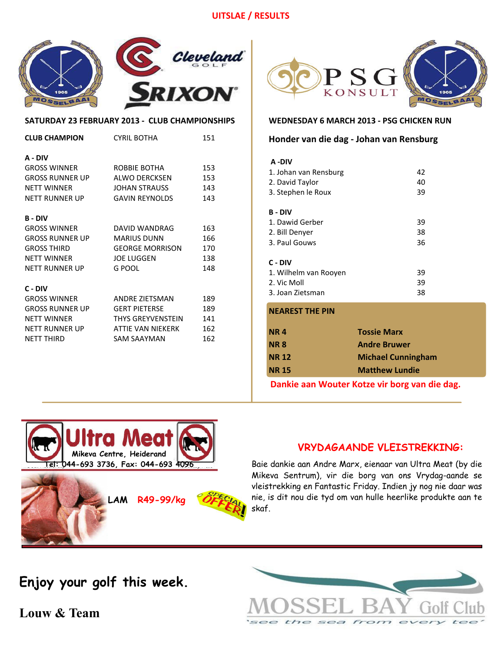#### **UITSLAE / RESULTS**



#### **SATURDAY 23 FEBRUARY 2013 - CLUB CHAMPIONSHIPS**

| <b>CLUB CHAMPION</b> | <b>CYRIL BOTHA</b>     | 151 |
|----------------------|------------------------|-----|
| A - DIV              |                        |     |
| <b>GROSS WINNER</b>  | ROBBIE BOTHA           | 153 |
| GROSS RUNNER UP      | ALWO DERCKSEN          | 153 |
| <b>NFTT WINNFR</b>   | JOHAN STRAUSS          | 143 |
| NFTT RUNNFR UP       | <b>GAVIN REYNOLDS</b>  | 143 |
|                      |                        |     |
| <b>B-DIV</b>         |                        |     |
| <b>GROSS WINNER</b>  | DAVID WANDRAG          | 163 |
| GROSS RUNNER UP      | <b>MARIUS DUNN</b>     | 166 |
| GROSS THIRD          | <b>GEORGE MORRISON</b> | 170 |
| <b>NFTT WINNFR</b>   | <b>JOE LUGGEN</b>      | 138 |
| NFTT RUNNER UP       | G POOL                 | 148 |
|                      |                        |     |
| C - DIV              |                        |     |
| <b>GROSS WINNER</b>  | ANDRE ZIETSMAN         | 189 |
| GROSS RUNNER UP      | <b>GERT PIETERSE</b>   | 189 |
| <b>NETT WINNER</b>   | THYS GREYVENSTEIN      | 141 |
| NFTT RUNNFR UP       | ATTIE VAN NIEKERK      | 162 |
| <b>NFTT THIRD</b>    | <b>SAM SAAYMAN</b>     | 162 |
|                      |                        |     |



#### **WEDNESDAY 6 MARCH 2013 - PSG CHICKEN RUN**

#### **Honder van die dag - Johan van Rensburg**

| A -DIV                |    |
|-----------------------|----|
| 1. Johan van Rensburg | 42 |
| 2. David Taylor       | 40 |
| 3. Stephen le Roux    | 39 |
| B - DIV               |    |
| 1. Dawid Gerber       | 39 |
| 2. Bill Denyer        | 38 |
| 3. Paul Gouws         | 36 |
| C - DIV               |    |
| 1. Wilhelm van Rooven | 39 |
| 2. Vic Moll           | 39 |
| 3. Joan Zietsman      | 38 |

#### **NEAREST THE PIN**

| <b>NR4</b>   | <b>Tossie Marx</b>        |
|--------------|---------------------------|
| <b>NR8</b>   | <b>Andre Bruwer</b>       |
| <b>NR 12</b> | <b>Michael Cunningham</b> |
| <b>NR 15</b> | <b>Matthew Lundie</b>     |
|              |                           |

**Dankie aan Wouter Kotze vir borg van die dag.**



**LAM R49-99/kg**

#### **VRYDAGAANDE VLEISTREKKING:**

Baie dankie aan Andre Marx, eienaar van Ultra Meat (by die Mikeva Sentrum), vir die borg van ons Vrydag-aande se vleistrekking en Fantastic Friday. Indien jy nog nie daar was nie, is dit nou die tyd om van hulle heerlike produkte aan te skaf.

see the sea from ever

**Enjoy your golf this week.**

**Louw & Team**